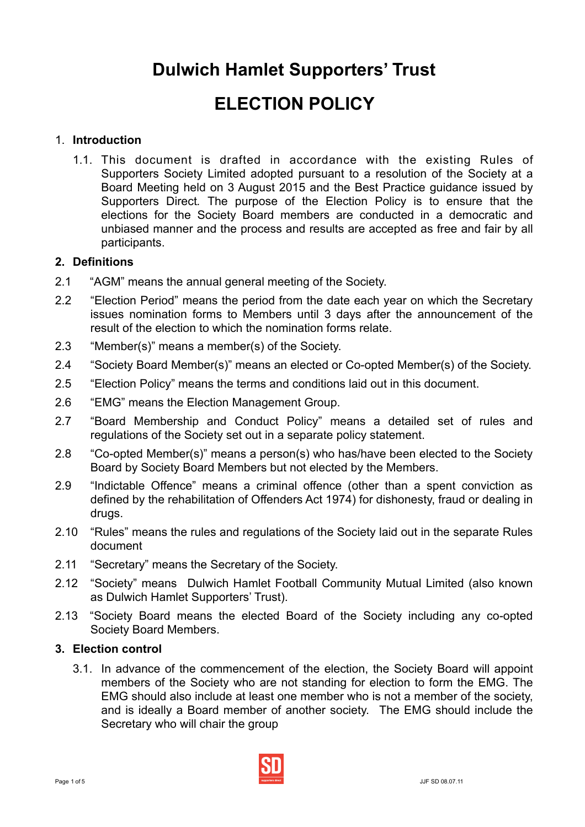# **Dulwich Hamlet Supporters' Trust**

## **ELECTION POLICY**

## 1. **Introduction**

1.1. This document is drafted in accordance with the existing Rules of Supporters Society Limited adopted pursuant to a resolution of the Society at a Board Meeting held on 3 August 2015 and the Best Practice guidance issued by Supporters Direct*.* The purpose of the Election Policy is to ensure that the elections for the Society Board members are conducted in a democratic and unbiased manner and the process and results are accepted as free and fair by all participants.

## **2. Definitions**

- 2.1 "AGM" means the annual general meeting of the Society.
- 2.2 "Election Period" means the period from the date each year on which the Secretary issues nomination forms to Members until 3 days after the announcement of the result of the election to which the nomination forms relate.
- 2.3 "Member(s)" means a member(s) of the Society.
- 2.4 "Society Board Member(s)" means an elected or Co-opted Member(s) of the Society.
- 2.5 "Election Policy" means the terms and conditions laid out in this document.
- 2.6 "EMG" means the Election Management Group.
- 2.7 "Board Membership and Conduct Policy" means a detailed set of rules and regulations of the Society set out in a separate policy statement.
- 2.8 "Co-opted Member(s)" means a person(s) who has/have been elected to the Society Board by Society Board Members but not elected by the Members.
- 2.9 "Indictable Offence" means a criminal offence (other than a spent conviction as defined by the rehabilitation of Offenders Act 1974) for dishonesty, fraud or dealing in drugs.
- 2.10 "Rules" means the rules and regulations of the Society laid out in the separate Rules document
- 2.11 "Secretary" means the Secretary of the Society.
- 2.12 "Society" means Dulwich Hamlet Football Community Mutual Limited (also known as Dulwich Hamlet Supporters' Trust).
- 2.13 "Society Board means the elected Board of the Society including any co-opted Society Board Members.

#### **3. Election control**

3.1. In advance of the commencement of the election, the Society Board will appoint members of the Society who are not standing for election to form the EMG. The EMG should also include at least one member who is not a member of the society, and is ideally a Board member of another society. The EMG should include the Secretary who will chair the group

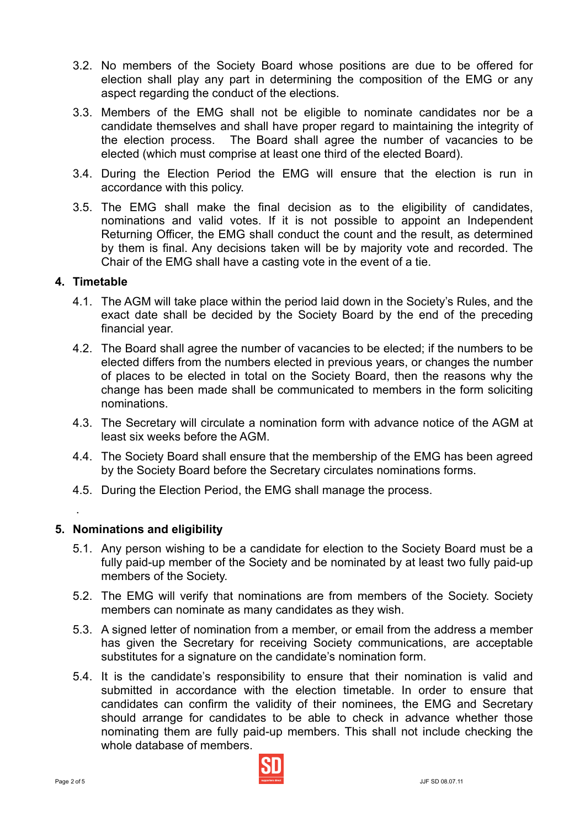- 3.2. No members of the Society Board whose positions are due to be offered for election shall play any part in determining the composition of the EMG or any aspect regarding the conduct of the elections.
- 3.3. Members of the EMG shall not be eligible to nominate candidates nor be a candidate themselves and shall have proper regard to maintaining the integrity of the election process. The Board shall agree the number of vacancies to be elected (which must comprise at least one third of the elected Board).
- 3.4. During the Election Period the EMG will ensure that the election is run in accordance with this policy.
- 3.5. The EMG shall make the final decision as to the eligibility of candidates, nominations and valid votes. If it is not possible to appoint an Independent Returning Officer, the EMG shall conduct the count and the result, as determined by them is final. Any decisions taken will be by majority vote and recorded. The Chair of the EMG shall have a casting vote in the event of a tie.

#### **4. Timetable**

- 4.1. The AGM will take place within the period laid down in the Society's Rules, and the exact date shall be decided by the Society Board by the end of the preceding financial year.
- 4.2. The Board shall agree the number of vacancies to be elected; if the numbers to be elected differs from the numbers elected in previous years, or changes the number of places to be elected in total on the Society Board, then the reasons why the change has been made shall be communicated to members in the form soliciting nominations.
- 4.3. The Secretary will circulate a nomination form with advance notice of the AGM at least six weeks before the AGM.
- 4.4. The Society Board shall ensure that the membership of the EMG has been agreed by the Society Board before the Secretary circulates nominations forms.
- 4.5. During the Election Period, the EMG shall manage the process.

#### **5. Nominations and eligibility**

- 5.1. Any person wishing to be a candidate for election to the Society Board must be a fully paid-up member of the Society and be nominated by at least two fully paid-up members of the Society.
- 5.2. The EMG will verify that nominations are from members of the Society. Society members can nominate as many candidates as they wish.
- 5.3. A signed letter of nomination from a member, or email from the address a member has given the Secretary for receiving Society communications, are acceptable substitutes for a signature on the candidate's nomination form.
- 5.4. It is the candidate's responsibility to ensure that their nomination is valid and submitted in accordance with the election timetable. In order to ensure that candidates can confirm the validity of their nominees, the EMG and Secretary should arrange for candidates to be able to check in advance whether those nominating them are fully paid-up members. This shall not include checking the whole database of members.



.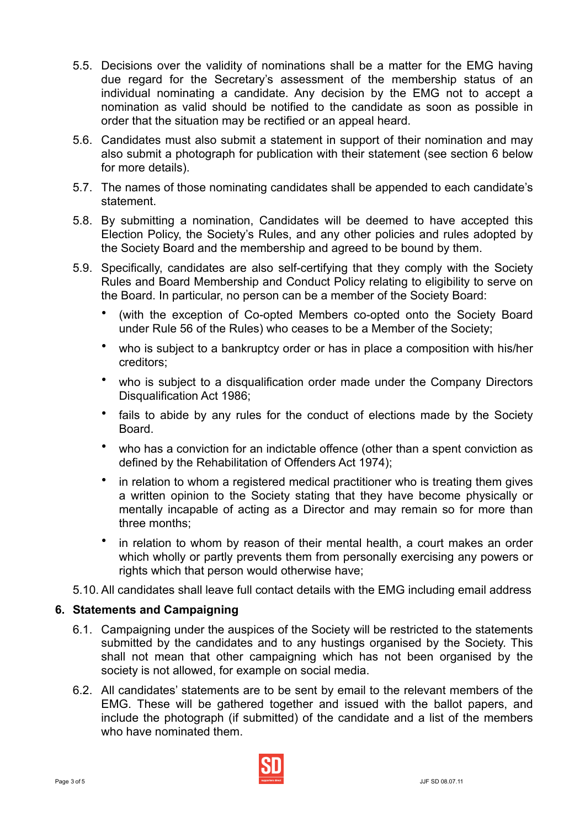- 5.5. Decisions over the validity of nominations shall be a matter for the EMG having due regard for the Secretary's assessment of the membership status of an individual nominating a candidate. Any decision by the EMG not to accept a nomination as valid should be notified to the candidate as soon as possible in order that the situation may be rectified or an appeal heard.
- 5.6. Candidates must also submit a statement in support of their nomination and may also submit a photograph for publication with their statement (see section 6 below for more details).
- 5.7. The names of those nominating candidates shall be appended to each candidate's statement.
- 5.8. By submitting a nomination, Candidates will be deemed to have accepted this Election Policy, the Society's Rules, and any other policies and rules adopted by the Society Board and the membership and agreed to be bound by them.
- 5.9. Specifically, candidates are also self-certifying that they comply with the Society Rules and Board Membership and Conduct Policy relating to eligibility to serve on the Board. In particular, no person can be a member of the Society Board:
	- (with the exception of Co-opted Members co-opted onto the Society Board under Rule 56 of the Rules) who ceases to be a Member of the Society;
	- who is subject to a bankruptcy order or has in place a composition with his/her creditors;
	- who is subject to a disqualification order made under the Company Directors Disqualification Act 1986;
	- fails to abide by any rules for the conduct of elections made by the Society Board.
	- who has a conviction for an indictable offence (other than a spent conviction as defined by the Rehabilitation of Offenders Act 1974);
	- in relation to whom a registered medical practitioner who is treating them gives a written opinion to the Society stating that they have become physically or mentally incapable of acting as a Director and may remain so for more than three months;
	- in relation to whom by reason of their mental health, a court makes an order which wholly or partly prevents them from personally exercising any powers or rights which that person would otherwise have;
- 5.10. All candidates shall leave full contact details with the EMG including email address

#### **6. Statements and Campaigning**

- 6.1. Campaigning under the auspices of the Society will be restricted to the statements submitted by the candidates and to any hustings organised by the Society. This shall not mean that other campaigning which has not been organised by the society is not allowed, for example on social media.
- 6.2. All candidates' statements are to be sent by email to the relevant members of the EMG. These will be gathered together and issued with the ballot papers, and include the photograph (if submitted) of the candidate and a list of the members who have nominated them.

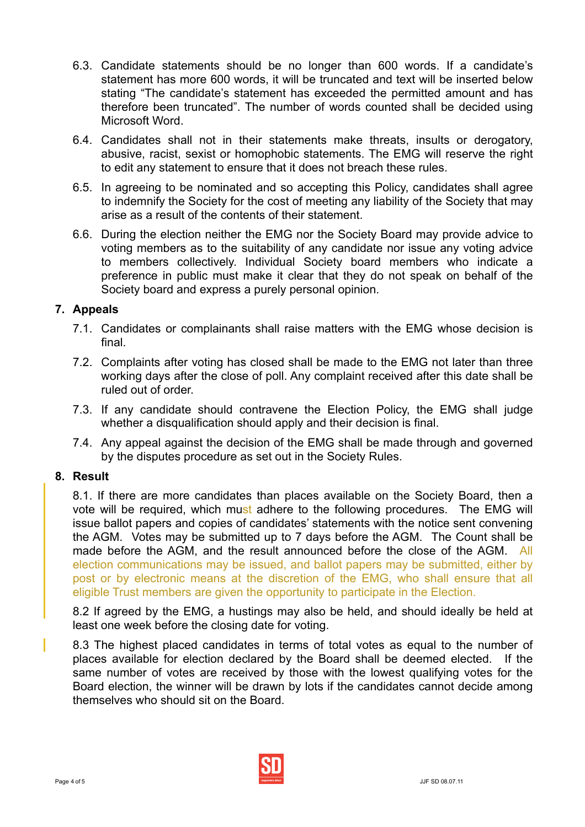- 6.3. Candidate statements should be no longer than 600 words. If a candidate's statement has more 600 words, it will be truncated and text will be inserted below stating "The candidate's statement has exceeded the permitted amount and has therefore been truncated". The number of words counted shall be decided using Microsoft Word.
- 6.4. Candidates shall not in their statements make threats, insults or derogatory, abusive, racist, sexist or homophobic statements. The EMG will reserve the right to edit any statement to ensure that it does not breach these rules.
- 6.5. In agreeing to be nominated and so accepting this Policy, candidates shall agree to indemnify the Society for the cost of meeting any liability of the Society that may arise as a result of the contents of their statement.
- 6.6. During the election neither the EMG nor the Society Board may provide advice to voting members as to the suitability of any candidate nor issue any voting advice to members collectively. Individual Society board members who indicate a preference in public must make it clear that they do not speak on behalf of the Society board and express a purely personal opinion.

## **7. Appeals**

- 7.1. Candidates or complainants shall raise matters with the EMG whose decision is final.
- 7.2. Complaints after voting has closed shall be made to the EMG not later than three working days after the close of poll. Any complaint received after this date shall be ruled out of order.
- 7.3. If any candidate should contravene the Election Policy, the EMG shall judge whether a disqualification should apply and their decision is final.
- 7.4. Any appeal against the decision of the EMG shall be made through and governed by the disputes procedure as set out in the Society Rules.

#### **8. Result**

8.1. If there are more candidates than places available on the Society Board, then a vote will be required, which must adhere to the following procedures. The EMG will issue ballot papers and copies of candidates' statements with the notice sent convening the AGM. Votes may be submitted up to 7 days before the AGM. The Count shall be made before the AGM, and the result announced before the close of the AGM. All election communications may be issued, and ballot papers may be submitted, either by post or by electronic means at the discretion of the EMG, who shall ensure that all eligible Trust members are given the opportunity to participate in the Election.

8.2 If agreed by the EMG, a hustings may also be held, and should ideally be held at least one week before the closing date for voting.

8.3 The highest placed candidates in terms of total votes as equal to the number of places available for election declared by the Board shall be deemed elected. If the same number of votes are received by those with the lowest qualifying votes for the Board election, the winner will be drawn by lots if the candidates cannot decide among themselves who should sit on the Board.